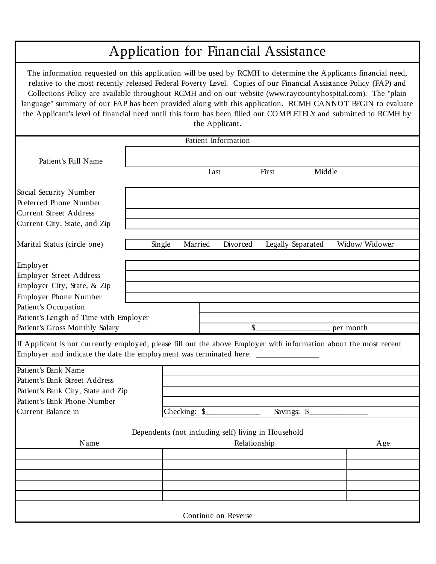## Application for Financial Assistance

The information requested on this application will be used by RCMH to determine the Applicants financial need, relative to the most recently released Federal Poverty Level. Copies of our Financial Assistance Policy (FAP) and Collections Policy are available throughout RCMH and on our website (www.raycountyhospital.com). The "plain language" summary of our FAP has been provided along with this application. RCMH CANNOT BEGIN to evaluate the Applicant's level of financial need until this form has been filled out CO MPLETELY and submitted to RCMH by the Applicant.

|                                                                                                                                                                                                        |        |              | Patient Information                                 |             |                   |                |
|--------------------------------------------------------------------------------------------------------------------------------------------------------------------------------------------------------|--------|--------------|-----------------------------------------------------|-------------|-------------------|----------------|
| Patient's Full Name                                                                                                                                                                                    |        |              |                                                     |             |                   |                |
|                                                                                                                                                                                                        |        |              | Last                                                | First       | Middle            |                |
| Social Security Number                                                                                                                                                                                 |        |              |                                                     |             |                   |                |
| Preferred Phone Number                                                                                                                                                                                 |        |              |                                                     |             |                   |                |
| <b>Current Street Address</b>                                                                                                                                                                          |        |              |                                                     |             |                   |                |
| Current City, State, and Zip                                                                                                                                                                           |        |              |                                                     |             |                   |                |
| Marital Status (circle one)                                                                                                                                                                            | Single | Married      | Divorced                                            |             | Legally Separated | Widow/ Widower |
| Employer                                                                                                                                                                                               |        |              |                                                     |             |                   |                |
| <b>Employer Street Address</b>                                                                                                                                                                         |        |              |                                                     |             |                   |                |
| Employer City, State, & Zip                                                                                                                                                                            |        |              |                                                     |             |                   |                |
| <b>Employer Phone Number</b>                                                                                                                                                                           |        |              |                                                     |             |                   |                |
| Patient's Occupation                                                                                                                                                                                   |        |              |                                                     |             |                   |                |
| Patient's Length of Time with Employer                                                                                                                                                                 |        |              |                                                     |             |                   |                |
| Patient's Gross Monthly Salary                                                                                                                                                                         |        |              | $\mathcal{S}_{-}$                                   |             |                   | per month      |
| If Applicant is not currently employed, please fill out the above Employer with information about the most recent<br>Employer and indicate the date the employment was terminated here: ______________ |        |              |                                                     |             |                   |                |
| Patient's Bank Name                                                                                                                                                                                    |        |              |                                                     |             |                   |                |
| Patient's Bank Street Address                                                                                                                                                                          |        |              |                                                     |             |                   |                |
| Patient's Bank City, State and Zip                                                                                                                                                                     |        |              |                                                     |             |                   |                |
| Patient's Bank Phone Number<br>Current Balance in                                                                                                                                                      |        | Checking: \$ |                                                     |             |                   |                |
|                                                                                                                                                                                                        |        |              |                                                     | Savings: \$ |                   |                |
|                                                                                                                                                                                                        |        |              | Dependents (not including self) living in Household |             |                   |                |
| Name                                                                                                                                                                                                   |        |              | Relationship                                        |             |                   | Age            |
|                                                                                                                                                                                                        |        |              |                                                     |             |                   |                |
|                                                                                                                                                                                                        |        |              |                                                     |             |                   |                |
|                                                                                                                                                                                                        |        |              |                                                     |             |                   |                |
|                                                                                                                                                                                                        |        |              |                                                     |             |                   |                |
|                                                                                                                                                                                                        |        |              |                                                     |             |                   |                |
|                                                                                                                                                                                                        |        |              | Continue on Reverse                                 |             |                   |                |